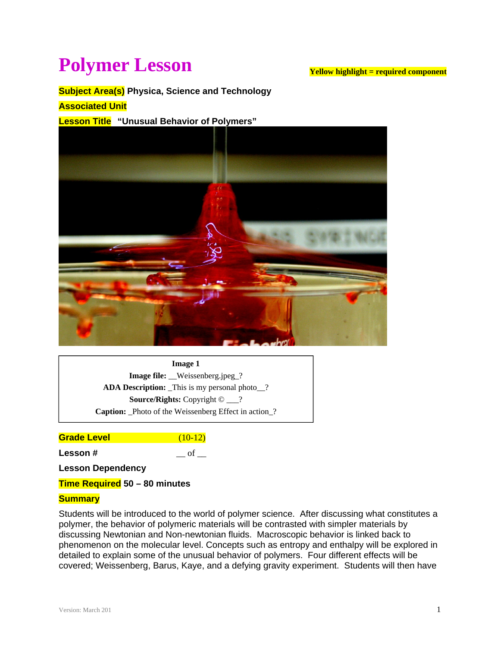# **Polymer Lesson**

#### **Yellow highlight = required component**

## **Subject Area(s) Physica, Science and Technology**

#### **Associated Unit**

#### **Lesson Title "Unusual Behavior of Polymers"**



**Image 1 Image file:** \_\_Weissenberg.jpeg\_? **ADA Description:** This is my personal photo ? **Source/Rights:** Copyright © \_\_\_? **Caption:** Photo of the Weissenberg Effect in action ?

**Grade Level** (10-12)

**Lesson #**  $\qquad$  of  $\qquad$ 

**Lesson Dependency** 

**Time Required 50 – 80 minutes** 

#### **Summary**

Students will be introduced to the world of polymer science. After discussing what constitutes a polymer, the behavior of polymeric materials will be contrasted with simpler materials by discussing Newtonian and Non-newtonian fluids. Macroscopic behavior is linked back to phenomenon on the molecular level. Concepts such as entropy and enthalpy will be explored in detailed to explain some of the unusual behavior of polymers. Four different effects will be covered; Weissenberg, Barus, Kaye, and a defying gravity experiment. Students will then have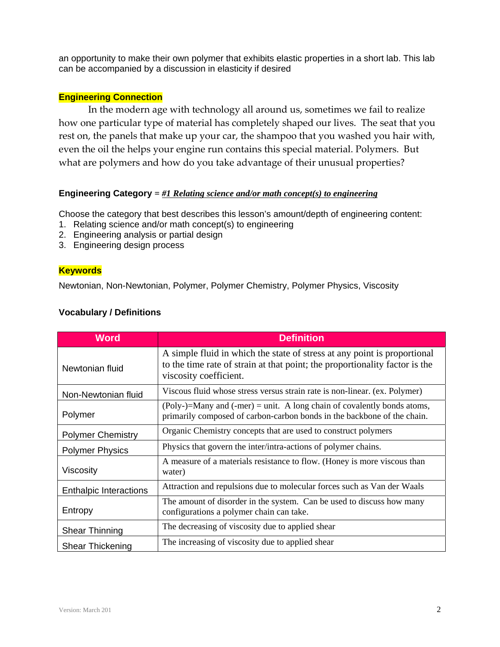an opportunity to make their own polymer that exhibits elastic properties in a short lab. This lab can be accompanied by a discussion in elasticity if desired

## **Engineering Connection**

In the modern age with technology all around us, sometimes we fail to realize how one particular type of material has completely shaped our lives. The seat that you rest on, the panels that make up your car, the shampoo that you washed you hair with, even the oil the helps your engine run contains this special material. Polymers. But what are polymers and how do you take advantage of their unusual properties?

#### **Engineering Category =** *#1 Relating science and/or math concept(s) to engineering*

Choose the category that best describes this lesson's amount/depth of engineering content:

- 1. Relating science and/or math concept(s) to engineering
- 2. Engineering analysis or partial design
- 3. Engineering design process

#### **Keywords**

Newtonian, Non-Newtonian, Polymer, Polymer Chemistry, Polymer Physics, Viscosity

#### **Vocabulary / Definitions**

| <b>Word</b>                   | <b>Definition</b>                                                                                                                                                                 |
|-------------------------------|-----------------------------------------------------------------------------------------------------------------------------------------------------------------------------------|
| Newtonian fluid               | A simple fluid in which the state of stress at any point is proportional<br>to the time rate of strain at that point; the proportionality factor is the<br>viscosity coefficient. |
| Non-Newtonian fluid           | Viscous fluid whose stress versus strain rate is non-linear. (ex. Polymer)                                                                                                        |
| Polymer                       | $(Poly-)$ =Many and $($ -mer $)$ = unit. A long chain of covalently bonds atoms,<br>primarily composed of carbon-carbon bonds in the backbone of the chain.                       |
| <b>Polymer Chemistry</b>      | Organic Chemistry concepts that are used to construct polymers                                                                                                                    |
| <b>Polymer Physics</b>        | Physics that govern the inter/intra-actions of polymer chains.                                                                                                                    |
| <b>Viscosity</b>              | A measure of a materials resistance to flow. (Honey is more viscous than<br>water)                                                                                                |
| <b>Enthalpic Interactions</b> | Attraction and repulsions due to molecular forces such as Van der Waals                                                                                                           |
| Entropy                       | The amount of disorder in the system. Can be used to discuss how many<br>configurations a polymer chain can take.                                                                 |
| <b>Shear Thinning</b>         | The decreasing of viscosity due to applied shear                                                                                                                                  |
| <b>Shear Thickening</b>       | The increasing of viscosity due to applied shear                                                                                                                                  |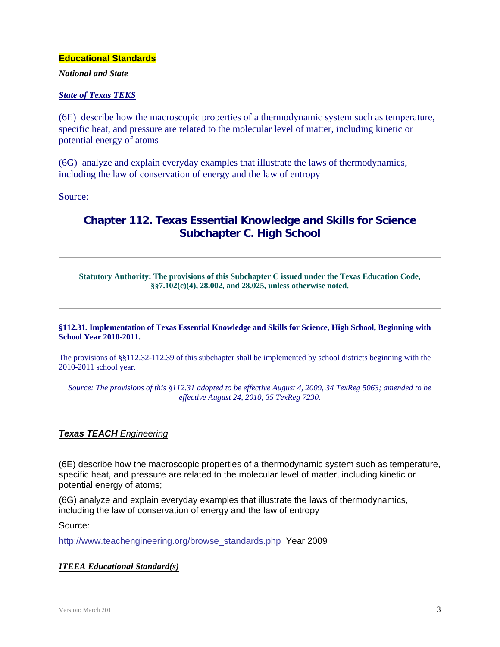#### **Educational Standards**

*National and State* 

#### *State of Texas TEKS*

(6E) describe how the macroscopic properties of a thermodynamic system such as temperature, specific heat, and pressure are related to the molecular level of matter, including kinetic or potential energy of atoms

(6G) analyze and explain everyday examples that illustrate the laws of thermodynamics, including the law of conservation of energy and the law of entropy

Source:

# **Chapter 112. Texas Essential Knowledge and Skills for Science Subchapter C. High School**

**Statutory Authority: The provisions of this Subchapter C issued under the Texas Education Code, §§7.102(c)(4), 28.002, and 28.025, unless otherwise noted.** 

#### **§112.31. Implementation of Texas Essential Knowledge and Skills for Science, High School, Beginning with School Year 2010-2011.**

The provisions of §§112.32-112.39 of this subchapter shall be implemented by school districts beginning with the 2010-2011 school year.

*Source: The provisions of this §112.31 adopted to be effective August 4, 2009, 34 TexReg 5063; amended to be effective August 24, 2010, 35 TexReg 7230.* 

#### *Texas TEACH Engineering*

(6E) describe how the macroscopic properties of a thermodynamic system such as temperature, specific heat, and pressure are related to the molecular level of matter, including kinetic or potential energy of atoms;

(6G) analyze and explain everyday examples that illustrate the laws of thermodynamics, including the law of conservation of energy and the law of entropy

Source:

http://www.teachengineering.org/browse\_standards.php Year 2009

#### *ITEEA Educational Standard(s)*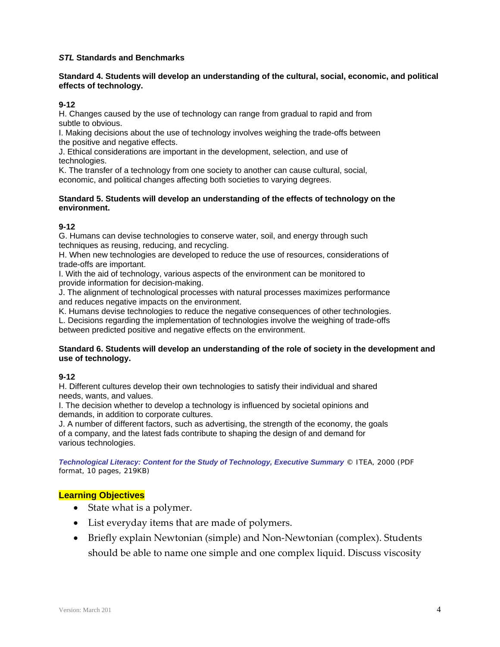#### *STL* **Standards and Benchmarks**

#### **Standard 4. Students will develop an understanding of the cultural, social, economic, and political effects of technology.**

#### **9-12**

H. Changes caused by the use of technology can range from gradual to rapid and from subtle to obvious.

I. Making decisions about the use of technology involves weighing the trade-offs between the positive and negative effects.

J. Ethical considerations are important in the development, selection, and use of technologies.

K. The transfer of a technology from one society to another can cause cultural, social, economic, and political changes affecting both societies to varying degrees.

#### **Standard 5. Students will develop an understanding of the effects of technology on the environment.**

#### **9-12**

G. Humans can devise technologies to conserve water, soil, and energy through such techniques as reusing, reducing, and recycling.

H. When new technologies are developed to reduce the use of resources, considerations of trade-offs are important.

I. With the aid of technology, various aspects of the environment can be monitored to provide information for decision-making.

J. The alignment of technological processes with natural processes maximizes performance and reduces negative impacts on the environment.

K. Humans devise technologies to reduce the negative consequences of other technologies.

L. Decisions regarding the implementation of technologies involve the weighing of trade-offs between predicted positive and negative effects on the environment.

#### **Standard 6. Students will develop an understanding of the role of society in the development and use of technology.**

#### **9-12**

H. Different cultures develop their own technologies to satisfy their individual and shared needs, wants, and values.

I. The decision whether to develop a technology is influenced by societal opinions and demands, in addition to corporate cultures.

J. A number of different factors, such as advertising, the strength of the economy, the goals of a company, and the latest fads contribute to shaping the design of and demand for various technologies.

*Technological Literacy: Content for the Study of Technology, Executive Summary* © ITEA, 2000 (PDF format, 10 pages, 219KB)

#### **Learning Objectives**

- State what is a polymer.
- List everyday items that are made of polymers.
- Briefly explain Newtonian (simple) and Non‐Newtonian (complex). Students should be able to name one simple and one complex liquid. Discuss viscosity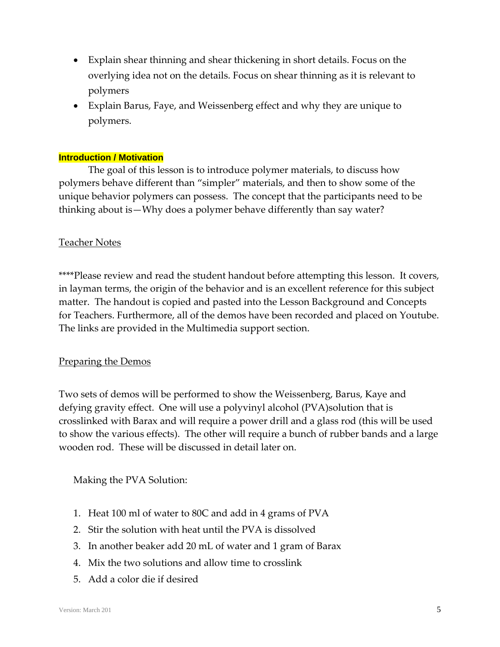- Explain shear thinning and shear thickening in short details. Focus on the overlying idea not on the details. Focus on shear thinning as it is relevant to polymers
- Explain Barus, Faye, and Weissenberg effect and why they are unique to polymers.

# **Introduction / Motivation**

The goal of this lesson is to introduce polymer materials, to discuss how polymers behave different than "simpler" materials, and then to show some of the unique behavior polymers can possess. The concept that the participants need to be thinking about is—Why does a polymer behave differently than say water?

## Teacher Notes

\*\*\*\*Please review and read the student handout before attempting this lesson. It covers, in layman terms, the origin of the behavior and is an excellent reference for this subject matter. The handout is copied and pasted into the Lesson Background and Concepts for Teachers. Furthermore, all of the demos have been recorded and placed on Youtube. The links are provided in the Multimedia support section.

## Preparing the Demos

Two sets of demos will be performed to show the Weissenberg, Barus, Kaye and defying gravity effect. One will use a polyvinyl alcohol (PVA)solution that is crosslinked with Barax and will require a power drill and a glass rod (this will be used to show the various effects). The other will require a bunch of rubber bands and a large wooden rod. These will be discussed in detail later on.

## Making the PVA Solution:

- 1. Heat 100 ml of water to 80C and add in 4 grams of PVA
- 2. Stir the solution with heat until the PVA is dissolved
- 3. In another beaker add 20 mL of water and 1 gram of Barax
- 4. Mix the two solutions and allow time to crosslink
- 5. Add a color die if desired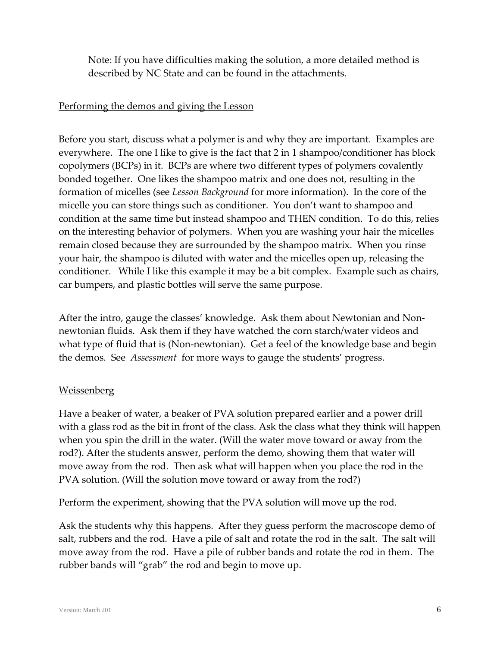Note: If you have difficulties making the solution, a more detailed method is described by NC State and can be found in the attachments.

# Performing the demos and giving the Lesson

Before you start, discuss what a polymer is and why they are important. Examples are everywhere. The one I like to give is the fact that 2 in 1 shampoo/conditioner has block copolymers (BCPs) in it. BCPs are where two different types of polymers covalently bonded together. One likes the shampoo matrix and one does not, resulting in the formation of micelles (see *Lesson Background* for more information). In the core of the micelle you can store things such as conditioner. You don't want to shampoo and condition at the same time but instead shampoo and THEN condition. To do this, relies on the interesting behavior of polymers. When you are washing your hair the micelles remain closed because they are surrounded by the shampoo matrix. When you rinse your hair, the shampoo is diluted with water and the micelles open up, releasing the conditioner. While I like this example it may be a bit complex. Example such as chairs, car bumpers, and plastic bottles will serve the same purpose.

After the intro, gauge the classes' knowledge. Ask them about Newtonian and Non‐ newtonian fluids. Ask them if they have watched the corn starch/water videos and what type of fluid that is (Non-newtonian). Get a feel of the knowledge base and begin the demos. See *Assessment* for more ways to gauge the students' progress.

# **Weissenberg**

Have a beaker of water, a beaker of PVA solution prepared earlier and a power drill with a glass rod as the bit in front of the class. Ask the class what they think will happen when you spin the drill in the water. (Will the water move toward or away from the rod?). After the students answer, perform the demo, showing them that water will move away from the rod. Then ask what will happen when you place the rod in the PVA solution. (Will the solution move toward or away from the rod?)

Perform the experiment, showing that the PVA solution will move up the rod.

Ask the students why this happens. After they guess perform the macroscope demo of salt, rubbers and the rod. Have a pile of salt and rotate the rod in the salt. The salt will move away from the rod. Have a pile of rubber bands and rotate the rod in them. The rubber bands will "grab" the rod and begin to move up.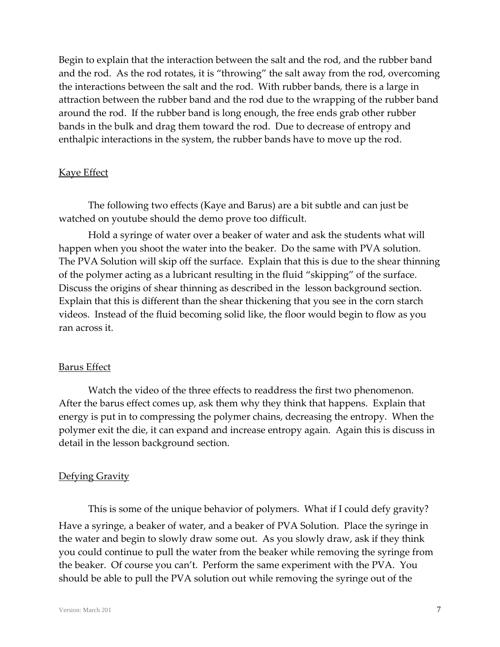Begin to explain that the interaction between the salt and the rod, and the rubber band and the rod. As the rod rotates, it is "throwing" the salt away from the rod, overcoming the interactions between the salt and the rod. With rubber bands, there is a large in attraction between the rubber band and the rod due to the wrapping of the rubber band around the rod. If the rubber band is long enough, the free ends grab other rubber bands in the bulk and drag them toward the rod. Due to decrease of entropy and enthalpic interactions in the system, the rubber bands have to move up the rod.

## Kaye Effect

The following two effects (Kaye and Barus) are a bit subtle and can just be watched on youtube should the demo prove too difficult.

Hold a syringe of water over a beaker of water and ask the students what will happen when you shoot the water into the beaker. Do the same with PVA solution. The PVA Solution will skip off the surface. Explain that this is due to the shear thinning of the polymer acting as a lubricant resulting in the fluid "skipping" of the surface. Discuss the origins of shear thinning as described in the lesson background section. Explain that this is different than the shear thickening that you see in the corn starch videos. Instead of the fluid becoming solid like, the floor would begin to flow as you ran across it.

## Barus Effect

Watch the video of the three effects to readdress the first two phenomenon. After the barus effect comes up, ask them why they think that happens. Explain that energy is put in to compressing the polymer chains, decreasing the entropy. When the polymer exit the die, it can expand and increase entropy again. Again this is discuss in detail in the lesson background section.

## Defying Gravity

This is some of the unique behavior of polymers. What if I could defy gravity? Have a syringe, a beaker of water, and a beaker of PVA Solution. Place the syringe in the water and begin to slowly draw some out. As you slowly draw, ask if they think you could continue to pull the water from the beaker while removing the syringe from the beaker. Of course you can't. Perform the same experiment with the PVA. You should be able to pull the PVA solution out while removing the syringe out of the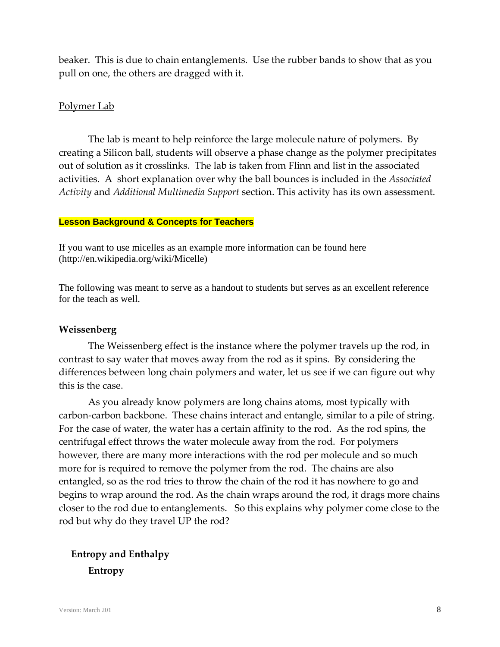beaker. This is due to chain entanglements. Use the rubber bands to show that as you pull on one, the others are dragged with it.

# Polymer Lab

The lab is meant to help reinforce the large molecule nature of polymers. By creating a Silicon ball, students will observe a phase change as the polymer precipitates out of solution as it crosslinks. The lab is taken from Flinn and list in the associated activities. A short explanation over why the ball bounces is included in the *Associated Activity* and *Additional Multimedia Support* section. This activity has its own assessment.

#### **Lesson Background & Concepts for Teachers**

If you want to use micelles as an example more information can be found here (http://en.wikipedia.org/wiki/Micelle)

The following was meant to serve as a handout to students but serves as an excellent reference for the teach as well.

## **Weissenberg**

The Weissenberg effect is the instance where the polymer travels up the rod, in contrast to say water that moves away from the rod as it spins. By considering the differences between long chain polymers and water, let us see if we can figure out why this is the case.

As you already know polymers are long chains atoms, most typically with carbon‐carbon backbone. These chains interact and entangle, similar to a pile of string. For the case of water, the water has a certain affinity to the rod. As the rod spins, the centrifugal effect throws the water molecule away from the rod. For polymers however, there are many more interactions with the rod per molecule and so much more for is required to remove the polymer from the rod. The chains are also entangled, so as the rod tries to throw the chain of the rod it has nowhere to go and begins to wrap around the rod. As the chain wraps around the rod, it drags more chains closer to the rod due to entanglements. So this explains why polymer come close to the rod but why do they travel UP the rod?

 **Entropy and Enthalpy Entropy**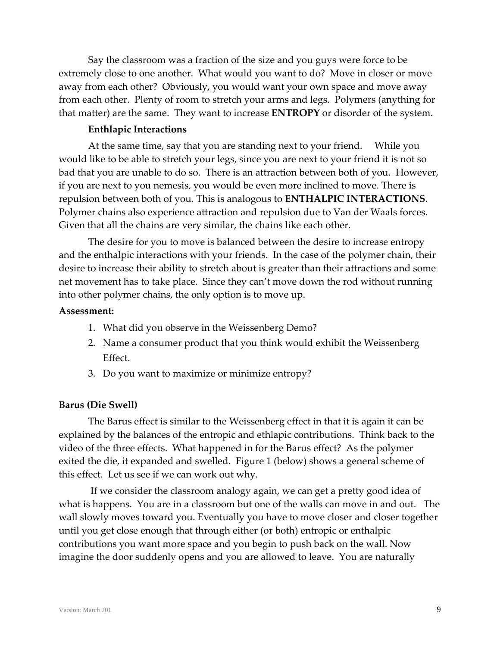Say the classroom was a fraction of the size and you guys were force to be extremely close to one another. What would you want to do? Move in closer or move away from each other? Obviously, you would want your own space and move away from each other. Plenty of room to stretch your arms and legs. Polymers (anything for that matter) are the same. They want to increase **ENTROPY** or disorder of the system.

## **Enthlapic Interactions**

At the same time, say that you are standing next to your friend. While you would like to be able to stretch your legs, since you are next to your friend it is not so bad that you are unable to do so. There is an attraction between both of you. However, if you are next to you nemesis, you would be even more inclined to move. There is repulsion between both of you. This is analogous to **ENTHALPIC INTERACTIONS**. Polymer chains also experience attraction and repulsion due to Van der Waals forces. Given that all the chains are very similar, the chains like each other.

The desire for you to move is balanced between the desire to increase entropy and the enthalpic interactions with your friends. In the case of the polymer chain, their desire to increase their ability to stretch about is greater than their attractions and some net movement has to take place. Since they can't move down the rod without running into other polymer chains, the only option is to move up.

## **Assessment:**

- 1. What did you observe in the Weissenberg Demo?
- 2. Name a consumer product that you think would exhibit the Weissenberg Effect.
- 3. Do you want to maximize or minimize entropy?

## **Barus (Die Swell)**

The Barus effect is similar to the Weissenberg effect in that it is again it can be explained by the balances of the entropic and ethlapic contributions. Think back to the video of the three effects. What happened in for the Barus effect? As the polymer exited the die, it expanded and swelled. Figure 1 (below) shows a general scheme of this effect. Let us see if we can work out why.

If we consider the classroom analogy again, we can get a pretty good idea of what is happens. You are in a classroom but one of the walls can move in and out. The wall slowly moves toward you. Eventually you have to move closer and closer together until you get close enough that through either (or both) entropic or enthalpic contributions you want more space and you begin to push back on the wall. Now imagine the door suddenly opens and you are allowed to leave. You are naturally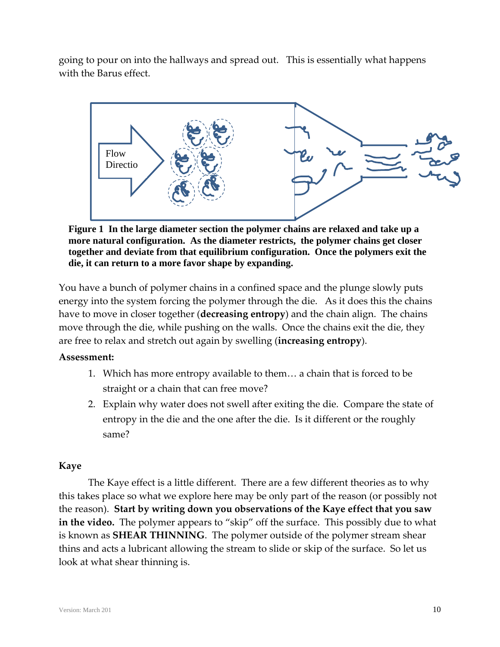going to pour on into the hallways and spread out. This is essentially what happens with the Barus effect.



**Figure 1 In the large diameter section the polymer chains are relaxed and take up a more natural configuration. As the diameter restricts, the polymer chains get closer together and deviate from that equilibrium configuration. Once the polymers exit the die, it can return to a more favor shape by expanding.**

You have a bunch of polymer chains in a confined space and the plunge slowly puts energy into the system forcing the polymer through the die. As it does this the chains have to move in closer together (**decreasing entropy**) and the chain align. The chains move through the die, while pushing on the walls. Once the chains exit the die, they are free to relax and stretch out again by swelling (**increasing entropy**).

# **Assessment:**

- 1. Which has more entropy available to them… a chain that is forced to be straight or a chain that can free move?
- 2. Explain why water does not swell after exiting the die. Compare the state of entropy in the die and the one after the die. Is it different or the roughly same?

# **Kaye**

The Kaye effect is a little different. There are a few different theories as to why this takes place so what we explore here may be only part of the reason (or possibly not the reason). **Start by writing down you observations of the Kaye effect that you saw** in the video. The polymer appears to "skip" off the surface. This possibly due to what is known as **SHEAR THINNING**. The polymer outside of the polymer stream shear thins and acts a lubricant allowing the stream to slide or skip of the surface. So let us look at what shear thinning is.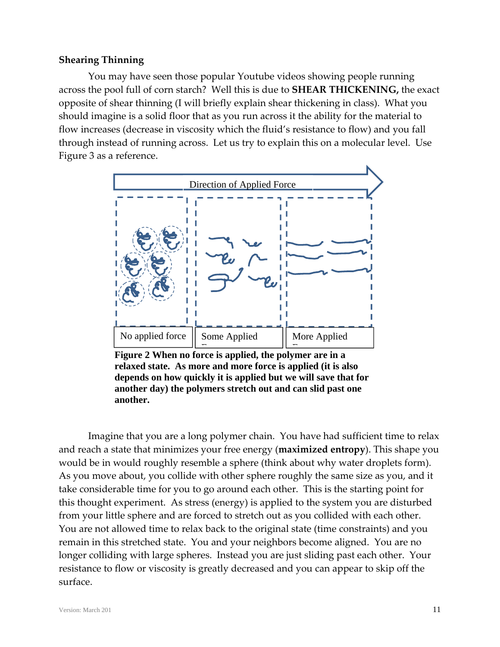## **Shearing Thinning**

You may have seen those popular Youtube videos showing people running across the pool full of corn starch? Well this is due to **SHEAR THICKENING,** the exact opposite of shear thinning (I will briefly explain shear thickening in class). What you should imagine is a solid floor that as you run across it the ability for the material to flow increases (decrease in viscosity which the fluid's resistance to flow) and you fall through instead of running across. Let us try to explain this on a molecular level. Use Figure 3 as a reference.



**Figure 2 When no force is applied, the polymer are in a relaxed state. As more and more force is applied (it is also depends on how quickly it is applied but we will save that for another day) the polymers stretch out and can slid past one another.**

Imagine that you are a long polymer chain. You have had sufficient time to relax and reach a state that minimizes your free energy (**maximized entropy**). This shape you would be in would roughly resemble a sphere (think about why water droplets form). As you move about, you collide with other sphere roughly the same size as you, and it take considerable time for you to go around each other. This is the starting point for this thought experiment. As stress (energy) is applied to the system you are disturbed from your little sphere and are forced to stretch out as you collided with each other. You are not allowed time to relax back to the original state (time constraints) and you remain in this stretched state. You and your neighbors become aligned. You are no longer colliding with large spheres. Instead you are just sliding past each other. Your resistance to flow or viscosity is greatly decreased and you can appear to skip off the surface.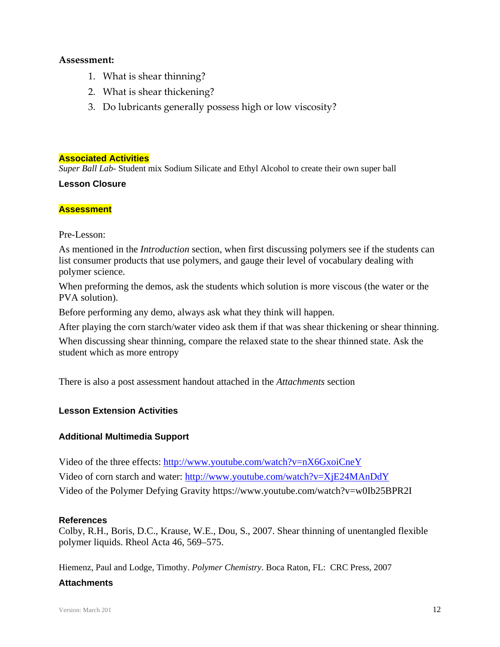#### **Assessment:**

- 1. What is shear thinning?
- 2. What is shear thickening?
- 3. Do lubricants generally possess high or low viscosity?

#### **Associated Activities**

*Super Ball Lab-* Student mix Sodium Silicate and Ethyl Alcohol to create their own super ball

## **Lesson Closure**

## **Assessment**

#### Pre-Lesson:

As mentioned in the *Introduction* section, when first discussing polymers see if the students can list consumer products that use polymers, and gauge their level of vocabulary dealing with polymer science.

When preforming the demos, ask the students which solution is more viscous (the water or the PVA solution).

Before performing any demo, always ask what they think will happen.

After playing the corn starch/water video ask them if that was shear thickening or shear thinning.

When discussing shear thinning, compare the relaxed state to the shear thinned state. Ask the student which as more entropy

There is also a post assessment handout attached in the *Attachments* section

## **Lesson Extension Activities**

## **Additional Multimedia Support**

Video of the three effects: http://www.youtube.com/watch?v=nX6GxoiCneY Video of corn starch and water: http://www.youtube.com/watch?v=XjE24MAnDdY Video of the Polymer Defying Gravity https://www.youtube.com/watch?v=w0Ib25BPR2I

#### **References**

Colby, R.H., Boris, D.C., Krause, W.E., Dou, S., 2007. Shear thinning of unentangled flexible polymer liquids. Rheol Acta 46, 569–575.

Hiemenz, Paul and Lodge, Timothy. *Polymer Chemistry*. Boca Raton, FL: CRC Press, 2007

## **Attachments**